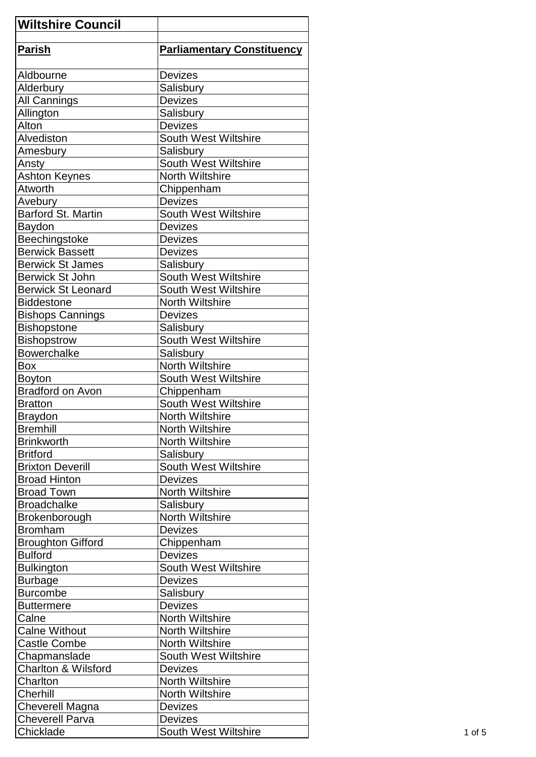| <b>Wiltshire Council</b>       |                                   |
|--------------------------------|-----------------------------------|
| <b>Parish</b>                  | <b>Parliamentary Constituency</b> |
|                                |                                   |
| Aldbourne                      | <b>Devizes</b>                    |
| Alderbury                      | Salisbury                         |
| All Cannings                   | <b>Devizes</b>                    |
| Allington                      | Salisbury                         |
| Alton                          | <b>Devizes</b>                    |
| Alvediston                     | <b>South West Wiltshire</b>       |
| Amesbury                       | Salisbury                         |
| Ansty                          | South West Wiltshire              |
| <b>Ashton Keynes</b>           | <b>North Wiltshire</b>            |
| Atworth                        | Chippenham                        |
| Avebury                        | <b>Devizes</b>                    |
| Barford St. Martin             | <b>South West Wiltshire</b>       |
| Baydon                         | <b>Devizes</b>                    |
| Beechingstoke                  | <b>Devizes</b>                    |
|                                |                                   |
| <b>Berwick Bassett</b>         | <b>Devizes</b>                    |
| <b>Berwick St James</b>        | Salisbury                         |
| <b>Berwick St John</b>         | South West Wiltshire              |
| <b>Berwick St Leonard</b>      | <b>South West Wiltshire</b>       |
| <b>Biddestone</b>              | <b>North Wiltshire</b>            |
| <b>Bishops Cannings</b>        | <b>Devizes</b>                    |
| <b>Bishopstone</b>             | Salisbury                         |
| <b>Bishopstrow</b>             | South West Wiltshire              |
| <b>Bowerchalke</b>             | Salisbury                         |
| <b>Box</b>                     | <b>North Wiltshire</b>            |
| <b>Boyton</b>                  | South West Wiltshire              |
| <b>Bradford on Avon</b>        | Chippenham                        |
| <b>Bratton</b>                 | South West Wiltshire              |
| <b>Braydon</b>                 | North Wiltshire                   |
| <b>Bremhill</b>                | <b>North Wiltshire</b>            |
| <b>Brinkworth</b>              | North Wiltshire                   |
| <b>Britford</b>                | Salisbury                         |
| <b>Brixton Deverill</b>        | <b>South West Wiltshire</b>       |
| <b>Broad Hinton</b>            | <b>Devizes</b>                    |
| <b>Broad Town</b>              | <b>North Wiltshire</b>            |
| <b>Broadchalke</b>             | Salisbury                         |
| Brokenborough                  | <b>North Wiltshire</b>            |
| <b>Bromham</b>                 | <b>Devizes</b>                    |
| <b>Broughton Gifford</b>       | Chippenham                        |
| <b>Bulford</b>                 | <b>Devizes</b>                    |
| <b>Bulkington</b>              | <b>South West Wiltshire</b>       |
| <b>Burbage</b>                 | <b>Devizes</b>                    |
| <b>Burcombe</b>                | Salisbury                         |
| <b>Buttermere</b>              | <b>Devizes</b>                    |
|                                | <b>North Wiltshire</b>            |
| Calne                          |                                   |
| <b>Calne Without</b>           | North Wiltshire                   |
| <b>Castle Combe</b>            | North Wiltshire                   |
| Chapmanslade                   | South West Wiltshire              |
| <b>Charlton &amp; Wilsford</b> | <b>Devizes</b>                    |
| Charlton                       | <b>North Wiltshire</b>            |
| Cherhill                       | <b>North Wiltshire</b>            |
| Cheverell Magna                | <b>Devizes</b>                    |
| <b>Cheverell Parva</b>         | <b>Devizes</b>                    |
| Chicklade                      | <b>South West Wiltshire</b>       |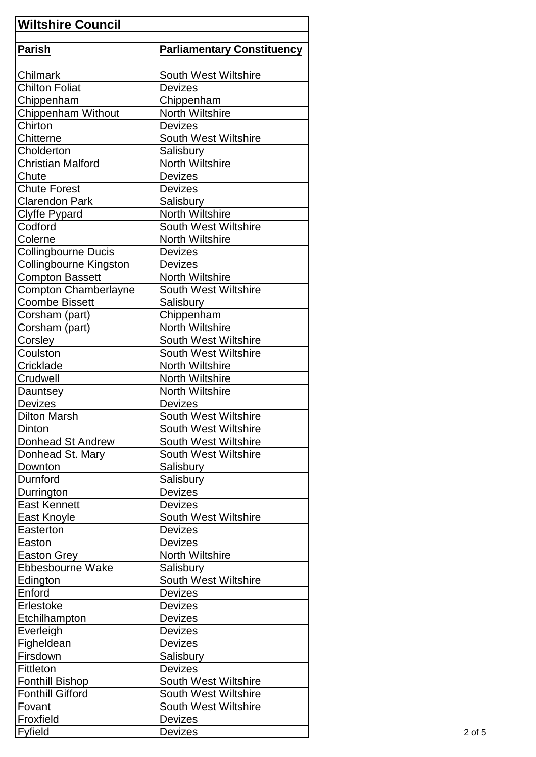| <b>Wiltshire Council</b>    |                                      |
|-----------------------------|--------------------------------------|
| <b>Parish</b>               | <b>Parliamentary Constituency</b>    |
|                             |                                      |
| Chilmark                    | <b>South West Wiltshire</b>          |
| <b>Chilton Foliat</b>       | <b>Devizes</b>                       |
| Chippenham                  | Chippenham                           |
| Chippenham Without          | <b>North Wiltshire</b>               |
| Chirton                     | <b>Devizes</b>                       |
| Chitterne                   | <b>South West Wiltshire</b>          |
| Cholderton                  | Salisbury                            |
| <b>Christian Malford</b>    | <b>North Wiltshire</b>               |
| Chute                       | <b>Devizes</b>                       |
| <b>Chute Forest</b>         | <b>Devizes</b>                       |
| <b>Clarendon Park</b>       | Salisbury                            |
| <b>Clyffe Pypard</b>        | <b>North Wiltshire</b>               |
| Codford                     | South West Wiltshire                 |
| Colerne                     | <b>North Wiltshire</b>               |
| <b>Collingbourne Ducis</b>  | <b>Devizes</b>                       |
| Collingbourne Kingston      | <b>Devizes</b>                       |
| <b>Compton Bassett</b>      | <b>North Wiltshire</b>               |
| <b>Compton Chamberlayne</b> | <b>South West Wiltshire</b>          |
| <b>Coombe Bissett</b>       | Salisbury                            |
|                             |                                      |
| Corsham (part)              | Chippenham<br><b>North Wiltshire</b> |
| Corsham (part)              |                                      |
| Corsley                     | <b>South West Wiltshire</b>          |
| Coulston                    | <b>South West Wiltshire</b>          |
| Cricklade                   | <b>North Wiltshire</b>               |
| Crudwell                    | <b>North Wiltshire</b>               |
| Dauntsey                    | <b>North Wiltshire</b>               |
| <b>Devizes</b>              | <b>Devizes</b>                       |
| <b>Dilton Marsh</b>         | South West Wiltshire                 |
| Dinton                      | South West Wiltshire                 |
| Donhead St Andrew           | South West Wiltshire                 |
| Donhead St. Mary            | <b>South West Wiltshire</b>          |
| Downton                     | Salisbury                            |
| Durnford                    | Salisbury                            |
| Durrington                  | <b>Devizes</b>                       |
| <b>East Kennett</b>         | <b>Devizes</b>                       |
| East Knoyle                 | South West Wiltshire                 |
| Easterton                   | <b>Devizes</b>                       |
| Easton                      | <b>Devizes</b>                       |
| <b>Easton Grey</b>          | North Wiltshire                      |
| Ebbesbourne Wake            | Salisbury                            |
| Edington                    | South West Wiltshire                 |
| Enford                      | <b>Devizes</b>                       |
| Erlestoke                   | Devizes                              |
| Etchilhampton               | Devizes                              |
| Everleigh                   | <b>Devizes</b>                       |
| Figheldean                  | <b>Devizes</b>                       |
| Firsdown                    | Salisbury                            |
| Fittleton                   | <b>Devizes</b>                       |
| <b>Fonthill Bishop</b>      | <b>South West Wiltshire</b>          |
| <b>Fonthill Gifford</b>     | <b>South West Wiltshire</b>          |
| Fovant                      | <b>South West Wiltshire</b>          |
| Froxfield                   | <b>Devizes</b>                       |
| Fyfield                     | <b>Devizes</b>                       |
|                             |                                      |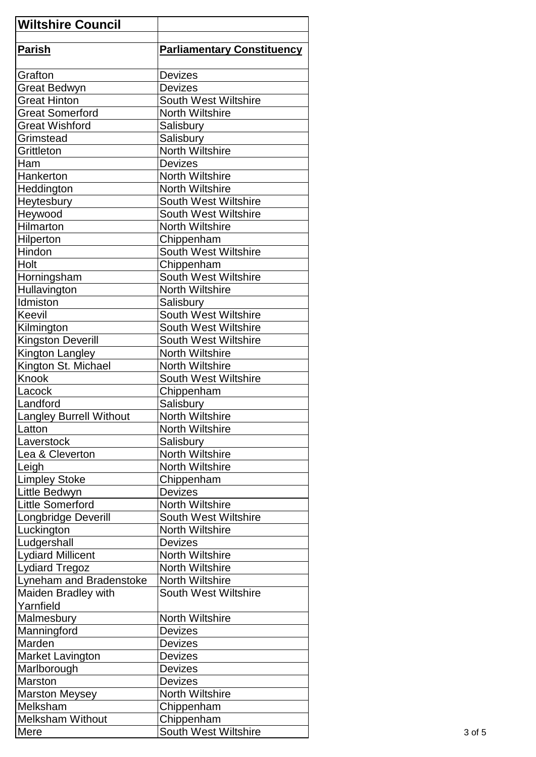| <b>Wiltshire Council</b> |                                   |
|--------------------------|-----------------------------------|
| <b>Parish</b>            | <b>Parliamentary Constituency</b> |
|                          |                                   |
| Grafton                  | <b>Devizes</b>                    |
| <b>Great Bedwyn</b>      | <b>Devizes</b>                    |
| <b>Great Hinton</b>      | <b>South West Wiltshire</b>       |
| <b>Great Somerford</b>   | North Wiltshire                   |
| <b>Great Wishford</b>    | Salisbury                         |
| Grimstead                | Salisbury                         |
| Grittleton               | <b>North Wiltshire</b>            |
| Ham                      | <b>Devizes</b>                    |
| Hankerton                | <b>North Wiltshire</b>            |
| Heddington               | <b>North Wiltshire</b>            |
| Heytesbury               | <b>South West Wiltshire</b>       |
| Heywood                  | <b>South West Wiltshire</b>       |
| Hilmarton                | <b>North Wiltshire</b>            |
| Hilperton                | Chippenham                        |
| Hindon                   | South West Wiltshire              |
| Holt                     | Chippenham                        |
| Horningsham              | <b>South West Wiltshire</b>       |
| Hullavington             | <b>North Wiltshire</b>            |
| Idmiston                 | Salisbury                         |
| Keevil                   | South West Wiltshire              |
| Kilmington               | <b>South West Wiltshire</b>       |
| <b>Kingston Deverill</b> | <b>South West Wiltshire</b>       |
| Kington Langley          | <b>North Wiltshire</b>            |
| Kington St. Michael      | <b>North Wiltshire</b>            |
| Knook                    | <b>South West Wiltshire</b>       |
| Lacock                   | Chippenham                        |
| Landford                 | Salisbury                         |
| Langley Burrell Without  | North Wiltshire                   |
|                          | <b>North Wiltshire</b>            |
| Latton<br>Laverstock     |                                   |
|                          | Salisbury                         |
| Lea & Cleverton          | North Wiltshire                   |
| Leigh                    | <b>North Wiltshire</b>            |
| <b>Limpley Stoke</b>     | Chippenham                        |
| Little Bedwyn            | <b>Devizes</b>                    |
| Little Somerford         | <b>North Wiltshire</b>            |
| Longbridge Deverill      | <b>South West Wiltshire</b>       |
| Luckington               | <b>North Wiltshire</b>            |
| Ludgershall              | <b>Devizes</b>                    |
| <b>Lydiard Millicent</b> | North Wiltshire                   |
| <b>Lydiard Tregoz</b>    | North Wiltshire                   |
| Lyneham and Bradenstoke  | North Wiltshire                   |
| Maiden Bradley with      | <b>South West Wiltshire</b>       |
| Yarnfield                |                                   |
| Malmesbury               | <b>North Wiltshire</b>            |
| Manningford              | <b>Devizes</b>                    |
| Marden                   | <b>Devizes</b>                    |
| <b>Market Lavington</b>  | <b>Devizes</b>                    |
| Marlborough              | <b>Devizes</b>                    |
| Marston                  | <b>Devizes</b>                    |
| <b>Marston Meysey</b>    | <b>North Wiltshire</b>            |
| Melksham                 | Chippenham                        |
| <b>Melksham Without</b>  | Chippenham                        |
| Mere                     | South West Wiltshire              |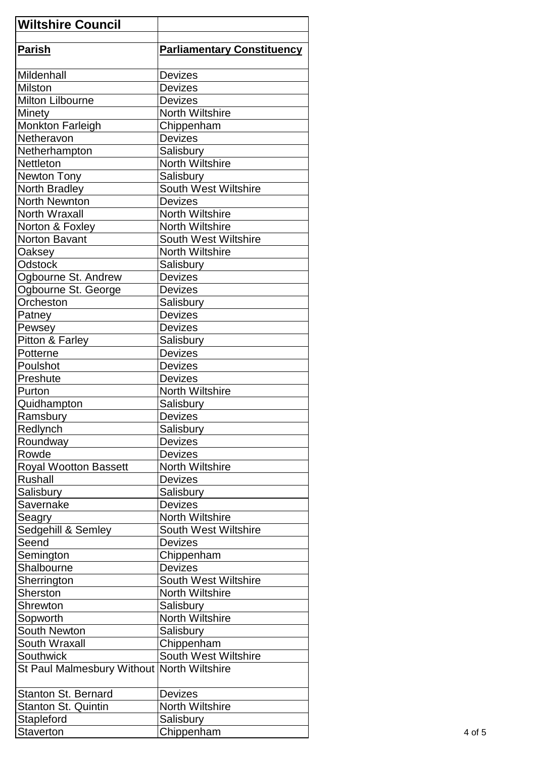| <b>Wiltshire Council</b>                   |                                   |
|--------------------------------------------|-----------------------------------|
| Parish                                     | <b>Parliamentary Constituency</b> |
| <b>Mildenhall</b>                          | <b>Devizes</b>                    |
| <b>Milston</b>                             | <b>Devizes</b>                    |
| <b>Milton Lilbourne</b>                    | <b>Devizes</b>                    |
| Minety                                     | <b>North Wiltshire</b>            |
| Monkton Farleigh                           | Chippenham                        |
| <b>Netheravon</b>                          | <b>Devizes</b>                    |
| Netherhampton                              | Salisbury                         |
| <b>Nettleton</b>                           | <b>North Wiltshire</b>            |
| Newton Tony                                | Salisbury                         |
| North Bradley                              | South West Wiltshire              |
| North Newnton                              | <b>Devizes</b>                    |
| North Wraxall                              | <b>North Wiltshire</b>            |
| Norton & Foxley                            | North Wiltshire                   |
| Norton Bavant                              | <b>South West Wiltshire</b>       |
| Oaksey                                     | <b>North Wiltshire</b>            |
| <b>Odstock</b>                             |                                   |
|                                            | Salisbury                         |
| Ogbourne St. Andrew                        | <b>Devizes</b>                    |
| Ogbourne St. George                        | <b>Devizes</b>                    |
| Orcheston                                  | Salisbury                         |
| Patney                                     | <b>Devizes</b>                    |
| Pewsey                                     | <b>Devizes</b>                    |
| Pitton & Farley                            | Salisbury                         |
| Potterne                                   | <b>Devizes</b>                    |
| Poulshot                                   | <b>Devizes</b>                    |
| Preshute                                   | <b>Devizes</b>                    |
| Purton                                     | <b>North Wiltshire</b>            |
| Quidhampton                                | Salisbury                         |
| Ramsbury                                   | <b>Devizes</b>                    |
| Redlynch                                   | Salisbury                         |
| Roundway                                   | <b>Devizes</b>                    |
| Rowde                                      | <b>Devizes</b>                    |
| <b>Royal Wootton Bassett</b>               | North Wiltshire                   |
| Rushall                                    | <b>Devizes</b>                    |
| Salisbury                                  | Salisbury                         |
| Savernake                                  | <b>Devizes</b>                    |
| Seagry                                     | North Wiltshire                   |
| Sedgehill & Semley                         | <b>South West Wiltshire</b>       |
| Seend                                      | <b>Devizes</b>                    |
| Semington                                  | Chippenham                        |
| Shalbourne                                 | <b>Devizes</b>                    |
| Sherrington                                | South West Wiltshire              |
| Sherston                                   | <b>North Wiltshire</b>            |
| Shrewton                                   | Salisbury                         |
| Sopworth                                   | <b>North Wiltshire</b>            |
| <b>South Newton</b>                        | Salisbury                         |
| South Wraxall                              | Chippenham                        |
| Southwick                                  | South West Wiltshire              |
| St Paul Malmesbury Without North Wiltshire |                                   |
| <b>Stanton St. Bernard</b>                 | <b>Devizes</b>                    |
| <b>Stanton St. Quintin</b>                 | <b>North Wiltshire</b>            |
| Stapleford                                 | Salisbury                         |
| Staverton                                  | Chippenham                        |